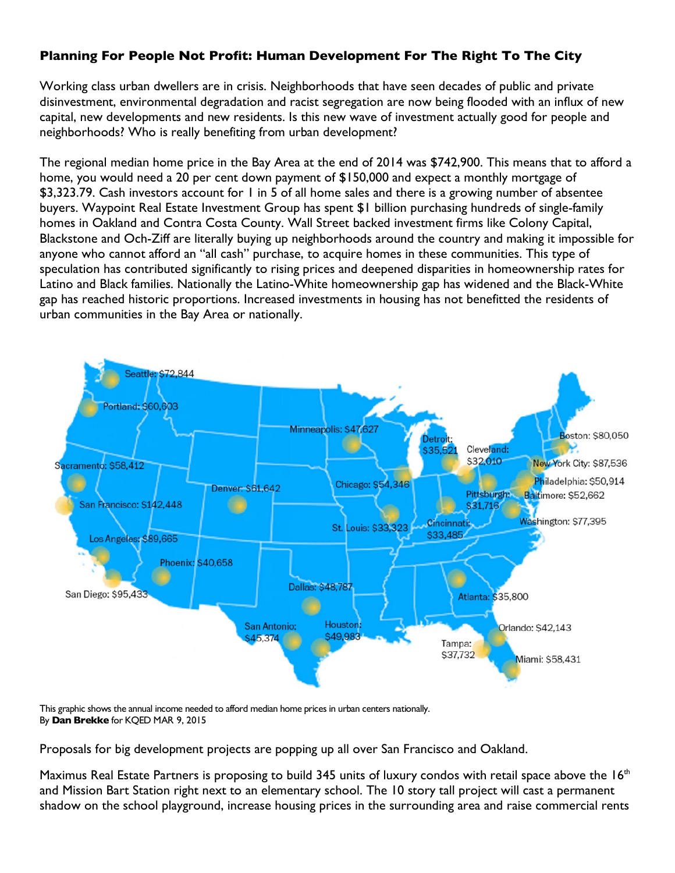## **Planning For People Not Profit: Human Development For The Right To The City**

Working class urban dwellers are in crisis. Neighborhoods that have seen decades of public and private disinvestment, environmental degradation and racist segregation are now being flooded with an influx of new capital, new developments and new residents. Is this new wave of investment actually good for people and neighborhoods? Who is really benefiting from urban development?

The regional median home price in the Bay Area at the end of 2014 was \$742,900. This means that to afford a home, you would need a 20 per cent down payment of \$150,000 and expect a monthly mortgage of \$3,323.79. Cash investors account for 1 in 5 of all home sales and there is a growing number of absentee buyers. Waypoint Real Estate Investment Group has spent \$1 billion purchasing hundreds of single-family homes in Oakland and Contra Costa County. Wall Street backed investment firms like Colony Capital, Blackstone and Och-Ziff are literally buying up neighborhoods around the country and making it impossible for anyone who cannot afford an "all cash" purchase, to acquire homes in these communities. This type of speculation has contributed significantly to rising prices and deepened disparities in homeownership rates for Latino and Black families. Nationally the Latino-White homeownership gap has widened and the Black-White gap has reached historic proportions. Increased investments in housing has not benefitted the residents of urban communities in the Bay Area or nationally.



This graphic shows the annual income needed to afford median home prices in urban centers nationally. By **Dan Brekke** for KQED MAR 9, 2015

Proposals for big development projects are popping up all over San Francisco and Oakland.

Maximus Real Estate Partners is proposing to build 345 units of luxury condos with retail space above the  $16<sup>th</sup>$ and Mission Bart Station right next to an elementary school. The 10 story tall project will cast a permanent shadow on the school playground, increase housing prices in the surrounding area and raise commercial rents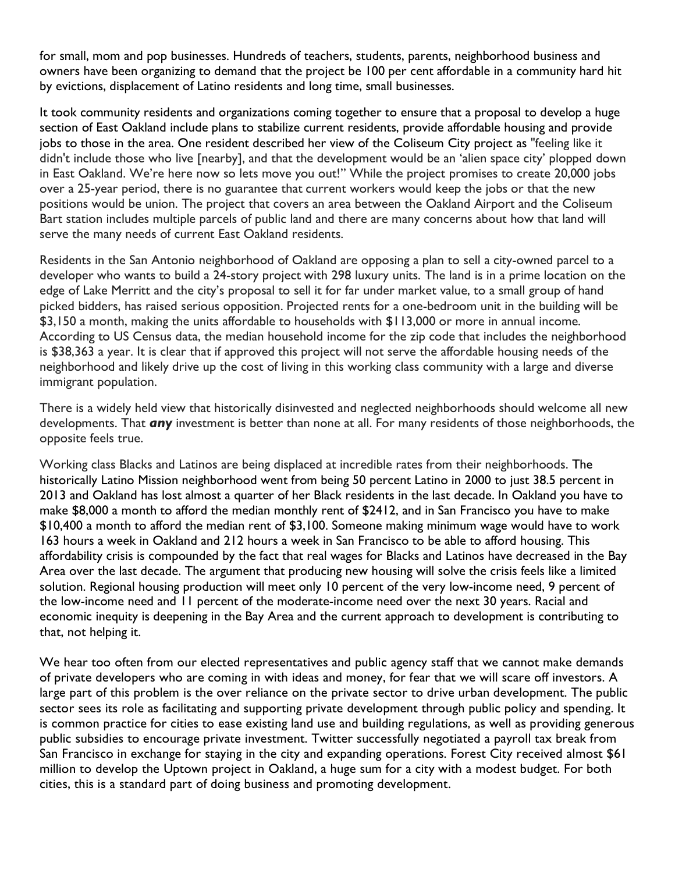for small, mom and pop businesses. Hundreds of teachers, students, parents, neighborhood business and owners have been organizing to demand that the project be 100 per cent affordable in a community hard hit by evictions, displacement of Latino residents and long time, small businesses.

It took community residents and organizations coming together to ensure that a proposal to develop a huge section of East Oakland include plans to stabilize current residents, provide affordable housing and provide jobs to those in the area. One resident described her view of the Coliseum City project as "feeling like it didn't include those who live [nearby], and that the development would be an 'alien space city' plopped down in East Oakland. We're here now so lets move you out!" While the project promises to create 20,000 jobs over a 25-year period, there is no guarantee that current workers would keep the jobs or that the new positions would be union. The project that covers an area between the Oakland Airport and the Coliseum Bart station includes multiple parcels of public land and there are many concerns about how that land will serve the many needs of current East Oakland residents.

Residents in the San Antonio neighborhood of Oakland are opposing a plan to sell a city-owned parcel to a developer who wants to build a 24-story project with 298 luxury units. The land is in a prime location on the edge of Lake Merritt and the city's proposal to sell it for far under market value, to a small group of hand picked bidders, has raised serious opposition. Projected rents for a one-bedroom unit in the building will be \$3,150 a month, making the units affordable to households with \$113,000 or more in annual income. According to US Census data, the median household income for the zip code that includes the neighborhood is \$38,363 a year. It is clear that if approved this project will not serve the affordable housing needs of the neighborhood and likely drive up the cost of living in this working class community with a large and diverse immigrant population.

There is a widely held view that historically disinvested and neglected neighborhoods should welcome all new developments. That *any* investment is better than none at all. For many residents of those neighborhoods, the opposite feels true.

Working class Blacks and Latinos are being displaced at incredible rates from their neighborhoods. The historically Latino Mission neighborhood went from being 50 percent Latino in 2000 to just 38.5 percent in 2013 and Oakland has lost almost a quarter of her Black residents in the last decade. In Oakland you have to make \$8,000 a month to afford the median monthly rent of \$2412, and in San Francisco you have to make \$10,400 a month to afford the median rent of \$3,100. Someone making minimum wage would have to work 163 hours a week in Oakland and 212 hours a week in San Francisco to be able to afford housing. This affordability crisis is compounded by the fact that real wages for Blacks and Latinos have decreased in the Bay Area over the last decade. The argument that producing new housing will solve the crisis feels like a limited solution. Regional housing production will meet only 10 percent of the very low-income need, 9 percent of the low-income need and 11 percent of the moderate-income need over the next 30 years. Racial and economic inequity is deepening in the Bay Area and the current approach to development is contributing to that, not helping it.

We hear too often from our elected representatives and public agency staff that we cannot make demands of private developers who are coming in with ideas and money, for fear that we will scare off investors. A large part of this problem is the over reliance on the private sector to drive urban development. The public sector sees its role as facilitating and supporting private development through public policy and spending. It is common practice for cities to ease existing land use and building regulations, as well as providing generous public subsidies to encourage private investment. Twitter successfully negotiated a payroll tax break from San Francisco in exchange for staying in the city and expanding operations. Forest City received almost \$61 million to develop the Uptown project in Oakland, a huge sum for a city with a modest budget. For both cities, this is a standard part of doing business and promoting development.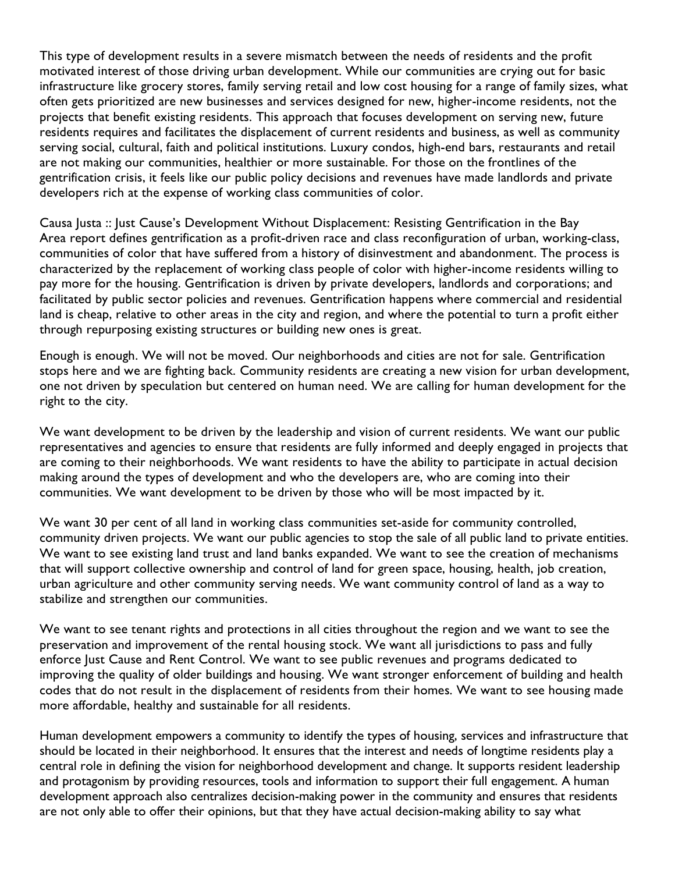This type of development results in a severe mismatch between the needs of residents and the profit motivated interest of those driving urban development. While our communities are crying out for basic infrastructure like grocery stores, family serving retail and low cost housing for a range of family sizes, what often gets prioritized are new businesses and services designed for new, higher-income residents, not the projects that benefit existing residents. This approach that focuses development on serving new, future residents requires and facilitates the displacement of current residents and business, as well as community serving social, cultural, faith and political institutions. Luxury condos, high-end bars, restaurants and retail are not making our communities, healthier or more sustainable. For those on the frontlines of the gentrification crisis, it feels like our public policy decisions and revenues have made landlords and private developers rich at the expense of working class communities of color.

Causa Justa :: Just Cause's Development Without Displacement: Resisting Gentrification in the Bay Area report defines gentrification as a profit-driven race and class reconfiguration of urban, working-class, communities of color that have suffered from a history of disinvestment and abandonment. The process is characterized by the replacement of working class people of color with higher-income residents willing to pay more for the housing. Gentrification is driven by private developers, landlords and corporations; and facilitated by public sector policies and revenues. Gentrification happens where commercial and residential land is cheap, relative to other areas in the city and region, and where the potential to turn a profit either through repurposing existing structures or building new ones is great.

Enough is enough. We will not be moved. Our neighborhoods and cities are not for sale. Gentrification stops here and we are fighting back. Community residents are creating a new vision for urban development, one not driven by speculation but centered on human need. We are calling for human development for the right to the city.

We want development to be driven by the leadership and vision of current residents. We want our public representatives and agencies to ensure that residents are fully informed and deeply engaged in projects that are coming to their neighborhoods. We want residents to have the ability to participate in actual decision making around the types of development and who the developers are, who are coming into their communities. We want development to be driven by those who will be most impacted by it.

We want 30 per cent of all land in working class communities set-aside for community controlled, community driven projects. We want our public agencies to stop the sale of all public land to private entities. We want to see existing land trust and land banks expanded. We want to see the creation of mechanisms that will support collective ownership and control of land for green space, housing, health, job creation, urban agriculture and other community serving needs. We want community control of land as a way to stabilize and strengthen our communities.

We want to see tenant rights and protections in all cities throughout the region and we want to see the preservation and improvement of the rental housing stock. We want all jurisdictions to pass and fully enforce Just Cause and Rent Control. We want to see public revenues and programs dedicated to improving the quality of older buildings and housing. We want stronger enforcement of building and health codes that do not result in the displacement of residents from their homes. We want to see housing made more affordable, healthy and sustainable for all residents.

Human development empowers a community to identify the types of housing, services and infrastructure that should be located in their neighborhood. It ensures that the interest and needs of longtime residents play a central role in defining the vision for neighborhood development and change. It supports resident leadership and protagonism by providing resources, tools and information to support their full engagement. A human development approach also centralizes decision-making power in the community and ensures that residents are not only able to offer their opinions, but that they have actual decision-making ability to say what